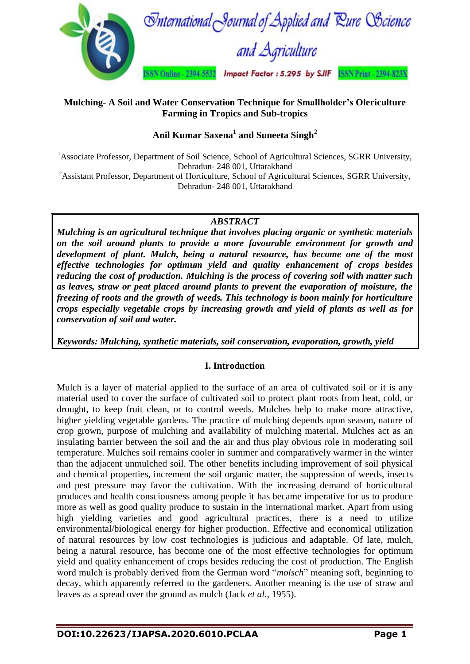

## **Mulching- A Soil and Water Conservation Technique for Smallholder's Olericulture Farming in Tropics and Sub-tropics**

# **Anil Kumar Saxena<sup>1</sup> and Suneeta Singh<sup>2</sup>**

<sup>1</sup> Associate Professor, Department of Soil Science, School of Agricultural Sciences, SGRR University, Dehradun- 248 001, Uttarakhand <sup>2</sup>Assistant Professor, Department of Horticulture, School of Agricultural Sciences, SGRR University,

Dehradun- 248 001, Uttarakhand

# *ABSTRACT*

*Mulching is an agricultural technique that involves placing organic or synthetic materials on the soil around plants to provide a more favourable environment for growth and development of plant. Mulch, being a natural resource, has become one of the most effective technologies for optimum yield and quality enhancement of crops besides reducing the cost of production. Mulching is the process of covering soil with matter such as leaves, straw or peat placed around plants to prevent the evaporation of moisture, the freezing of roots and the growth of weeds. This technology is boon mainly for horticulture crops especially vegetable crops by increasing growth and yield of plants as well as for conservation of soil and water.*

*Keywords: Mulching, synthetic materials, soil conservation, evaporation, growth, yield*

# **I. Introduction**

Mulch is a layer of material applied to the surface of an area of cultivated soil or it is any material used to cover the surface of cultivated soil to protect plant roots from heat, cold, or drought, to keep fruit clean, or to control weeds. Mulches help to make more attractive, higher yielding vegetable gardens. The practice of mulching depends upon season, nature of crop grown, purpose of mulching and availability of mulching material. Mulches act as an insulating barrier between the soil and the air and thus play obvious role in moderating soil temperature. Mulches soil remains cooler in summer and comparatively warmer in the winter than the adjacent unmulched soil. The other benefits including improvement of soil physical and chemical properties, increment the soil organic matter, the suppression of weeds, insects and pest pressure may favor the cultivation. With the increasing demand of horticultural produces and health consciousness among people it has became imperative for us to produce more as well as good quality produce to sustain in the international market. Apart from using high yielding varieties and good agricultural practices, there is a need to utilize environmental/biological energy for higher production. Effective and economical utilization of natural resources by low cost technologies is judicious and adaptable. Of late, mulch, being a natural resource, has become one of the most effective technologies for optimum yield and quality enhancement of crops besides reducing the cost of production. The English word mulch is probably derived from the German word "*molsch*" meaning soft, beginning to decay, which apparently referred to the gardeners. Another meaning is the use of straw and leaves as a spread over the ground as mulch (Jack *et al*., 1955).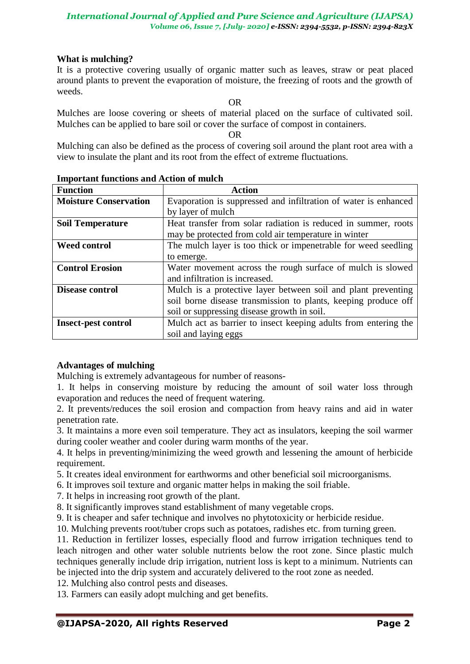## **What is mulching?**

It is a protective covering usually of organic matter such as leaves, straw or peat placed around plants to prevent the evaporation of moisture, the freezing of roots and the growth of weeds.

OR

Mulches are loose covering or sheets of material placed on the surface of cultivated soil. Mulches can be applied to bare soil or cover the surface of compost in containers.

OR

Mulching can also be defined as the process of covering soil around the plant root area with a view to insulate the plant and its root from the effect of extreme fluctuations.

| <b>Function</b>              | <b>Action</b>                                                   |  |  |  |
|------------------------------|-----------------------------------------------------------------|--|--|--|
| <b>Moisture Conservation</b> | Evaporation is suppressed and infiltration of water is enhanced |  |  |  |
|                              | by layer of mulch                                               |  |  |  |
| <b>Soil Temperature</b>      | Heat transfer from solar radiation is reduced in summer, roots  |  |  |  |
|                              | may be protected from cold air temperature in winter            |  |  |  |
| <b>Weed control</b>          | The mulch layer is too thick or impenetrable for weed seedling  |  |  |  |
|                              | to emerge.                                                      |  |  |  |
| <b>Control Erosion</b>       | Water movement across the rough surface of mulch is slowed      |  |  |  |
|                              | and infiltration is increased.                                  |  |  |  |
| <b>Disease control</b>       | Mulch is a protective layer between soil and plant preventing   |  |  |  |
|                              | soil borne disease transmission to plants, keeping produce off  |  |  |  |
|                              | soil or suppressing disease growth in soil.                     |  |  |  |
| <b>Insect-pest control</b>   | Mulch act as barrier to insect keeping adults from entering the |  |  |  |
|                              | soil and laying eggs                                            |  |  |  |

#### **Important functions and Action of mulch**

## **Advantages of mulching**

Mulching is extremely advantageous for number of reasons-

1. It helps in conserving moisture by reducing the amount of soil water loss through evaporation and reduces the need of frequent watering.

2. It prevents/reduces the soil erosion and compaction from heavy rains and aid in water penetration rate.

3. It maintains a more even soil temperature. They act as insulators, keeping the soil warmer during cooler weather and cooler during warm months of the year.

4. It helps in preventing/minimizing the weed growth and lessening the amount of herbicide requirement.

5. It creates ideal environment for earthworms and other beneficial soil microorganisms.

6. It improves soil texture and organic matter helps in making the soil friable.

7. It helps in increasing root growth of the plant.

8. It significantly improves stand establishment of many vegetable crops.

9. It is cheaper and safer technique and involves no phytotoxicity or herbicide residue.

10. Mulching prevents root/tuber crops such as potatoes, radishes etc. from turning green.

11. Reduction in fertilizer losses, especially flood and furrow irrigation techniques tend to leach nitrogen and other water soluble nutrients below the root zone. Since plastic mulch techniques generally include drip irrigation, nutrient loss is kept to a minimum. Nutrients can be injected into the drip system and accurately delivered to the root zone as needed.

12. Mulching also control pests and diseases.

13. Farmers can easily adopt mulching and get benefits.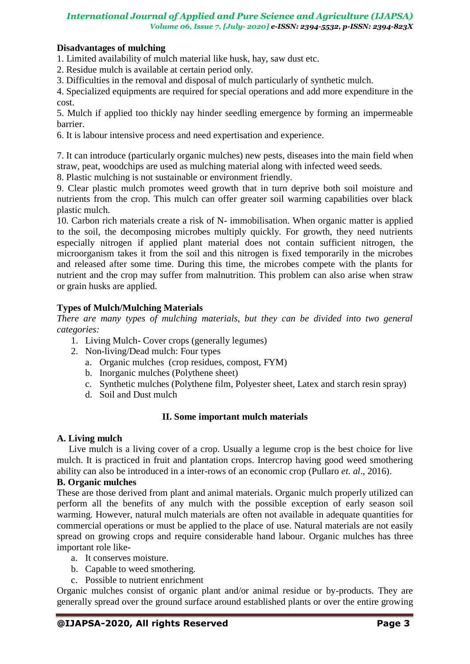## **Disadvantages of mulching**

1. Limited availability of mulch material like husk, hay, saw dust etc.

2. Residue mulch is available at certain period only.

3. Difficulties in the removal and disposal of mulch particularly of synthetic mulch.

4. Specialized equipments are required for special operations and add more expenditure in the cost.

5. Mulch if applied too thickly nay hinder seedling emergence by forming an impermeable barrier.

6. It is labour intensive process and need expertisation and experience.

7. It can introduce (particularly organic mulches) new pests, diseases into the main field when straw, peat, woodchips are used as mulching material along with infected weed seeds.

8. Plastic mulching is not sustainable or environment friendly.

9. Clear plastic mulch promotes weed growth that in turn deprive both soil moisture and nutrients from the crop. This mulch can offer greater soil warming capabilities over black plastic mulch.

10. Carbon rich materials create a risk of N- immobilisation. When organic matter is applied to the soil, the decomposing microbes multiply quickly. For growth, they need nutrients especially nitrogen if applied plant material does not contain sufficient nitrogen, the microorganism takes it from the soil and this nitrogen is fixed temporarily in the microbes and released after some time. During this time, the microbes compete with the plants for nutrient and the crop may suffer from malnutrition. This problem can also arise when straw or grain husks are applied.

## **Types of Mulch/Mulching Materials**

*There are many types of mulching materials, but they can be divided into two general categories:*

- 1. Living Mulch- Cover crops (generally legumes)
- 2. Non-living/Dead mulch: Four types
	- a. Organic mulches (crop residues, compost, FYM)
	- b. Inorganic mulches (Polythene sheet)
	- c. Synthetic mulches (Polythene film, Polyester sheet, Latex and starch resin spray)
	- d. Soil and Dust mulch

#### **II. Some important mulch materials**

#### **A. Living mulch**

Live mulch is a living cover of a crop. Usually a legume crop is the best choice for live mulch. It is practiced in fruit and plantation crops. Intercrop having good weed smothering ability can also be introduced in a inter-rows of an economic crop (Pullaro *et. al*., 2016).

## **B. Organic mulches**

These are those derived from plant and animal materials. Organic mulch properly utilized can perform all the benefits of any mulch with the possible exception of early season soil warming. However, natural mulch materials are often not available in adequate quantities for commercial operations or must be applied to the place of use. Natural materials are not easily spread on growing crops and require considerable hand labour. Organic mulches has three important role like-

- a. It conserves moisture.
- b. Capable to weed smothering.
- c. Possible to nutrient enrichment

Organic mulches consist of organic plant and/or animal residue or by-products. They are generally spread over the ground surface around established plants or over the entire growing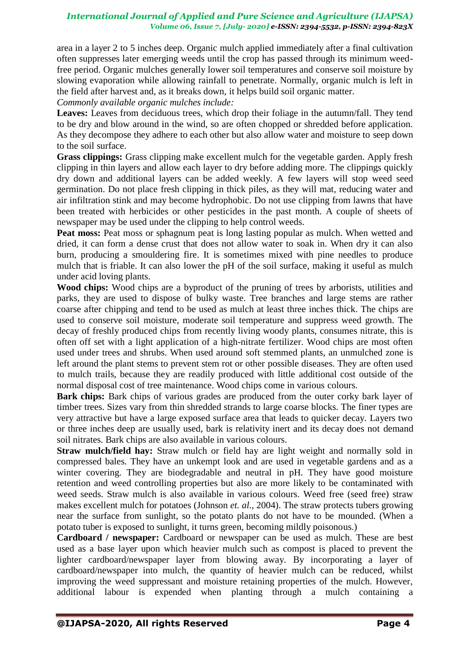area in a layer 2 to 5 inches deep. Organic mulch applied immediately after a final cultivation often suppresses later emerging weeds until the crop has passed through its minimum weedfree period. Organic mulches generally lower soil temperatures and conserve soil moisture by slowing evaporation while allowing rainfall to penetrate. Normally, organic mulch is left in the field after harvest and, as it breaks down, it helps build soil organic matter.

*Commonly available organic mulches include:*

**Leaves:** Leaves from deciduous trees, which drop their foliage in the autumn/fall. They tend to be dry and blow around in the wind, so are often chopped or shredded before application. As they decompose they adhere to each other but also allow water and moisture to seep down to the soil surface.

**Grass clippings:** Grass clipping make excellent mulch for the vegetable garden. Apply fresh clipping in thin layers and allow each layer to dry before adding more. The clippings quickly dry down and additional layers can be added weekly. A few layers will stop weed seed germination. Do not place fresh clipping in thick piles, as they will mat, reducing water and air infiltration stink and may become hydrophobic. Do not use clipping from lawns that have been treated with herbicides or other pesticides in the past month. A couple of sheets of newspaper may be used under the clipping to help control weeds.

**Peat moss:** Peat moss or sphagnum peat is long lasting popular as mulch. When wetted and dried, it can form a dense crust that does not allow water to soak in. When dry it can also burn, producing a smouldering fire. It is sometimes mixed with pine needles to produce mulch that is friable. It can also lower the pH of the soil surface, making it useful as mulch under acid loving plants.

**Wood chips:** Wood chips are a byproduct of the pruning of trees by arborists, utilities and parks, they are used to dispose of bulky waste. Tree branches and large stems are rather coarse after chipping and tend to be used as mulch at least three inches thick. The chips are used to conserve soil moisture, moderate soil temperature and suppress weed growth. The decay of freshly produced chips from recently living woody plants, consumes nitrate, this is often off set with a light application of a high-nitrate fertilizer. Wood chips are most often used under trees and shrubs. When used around soft stemmed plants, an unmulched zone is left around the plant stems to prevent stem rot or other possible diseases. They are often used to mulch trails, because they are readily produced with little additional cost outside of the normal disposal cost of tree maintenance. Wood chips come in various colours.

**Bark chips:** Bark chips of various grades are produced from the outer corky bark layer of timber trees. Sizes vary from thin shredded strands to large coarse blocks. The finer types are very attractive but have a large exposed surface area that leads to quicker decay. Layers two or three inches deep are usually used, bark is relativity inert and its decay does not demand soil nitrates. Bark chips are also available in various colours.

**Straw mulch/field hay:** Straw mulch or field hay are light weight and normally sold in compressed bales. They have an unkempt look and are used in vegetable gardens and as a winter covering. They are biodegradable and neutral in pH. They have good moisture retention and weed controlling properties but also are more likely to be contaminated with weed seeds. Straw mulch is also available in various colours. Weed free (seed free) straw makes excellent mulch for potatoes (Johnson *et. al.*, 2004). The straw protects tubers growing near the surface from sunlight, so the potato plants do not have to be mounded. (When a potato tuber is exposed to sunlight, it turns green, becoming mildly poisonous.)

**Cardboard / newspaper:** Cardboard or newspaper can be used as mulch. These are best used as a base layer upon which heavier mulch such as compost is placed to prevent the lighter cardboard/newspaper layer from blowing away. By incorporating a layer of cardboard/newspaper into mulch, the quantity of heavier mulch can be reduced, whilst improving the weed suppressant and moisture retaining properties of the mulch. However, additional labour is expended when planting through a mulch containing a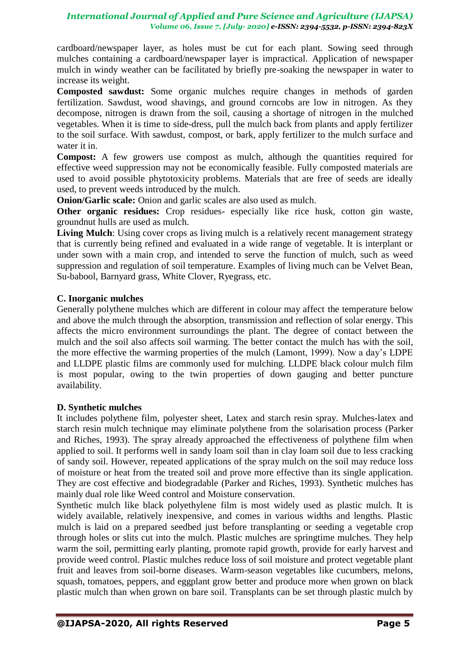cardboard/newspaper layer, as holes must be cut for each plant. Sowing seed through mulches containing a cardboard/newspaper layer is impractical. Application of newspaper mulch in windy weather can be facilitated by briefly pre-soaking the newspaper in water to increase its weight.

**Composted sawdust:** Some organic mulches require changes in methods of garden fertilization. Sawdust, wood shavings, and ground corncobs are low in nitrogen. As they decompose, nitrogen is drawn from the soil, causing a shortage of nitrogen in the mulched vegetables. When it is time to side-dress, pull the mulch back from plants and apply fertilizer to the soil surface. With sawdust, compost, or bark, apply fertilizer to the mulch surface and water it in.

**Compost:** A few growers use compost as mulch, although the quantities required for effective weed suppression may not be economically feasible. Fully composted materials are used to avoid possible phytotoxicity problems. Materials that are free of seeds are ideally used, to prevent weeds introduced by the mulch.

**Onion/Garlic scale:** Onion and garlic scales are also used as mulch.

**Other organic residues:** Crop residues- especially like rice husk, cotton gin waste, groundnut hulls are used as mulch.

**Living Mulch**: Using cover crops as living mulch is a relatively recent management strategy that is currently being refined and evaluated in a wide range of vegetable. It is interplant or under sown with a main crop, and intended to serve the function of mulch, such as weed suppression and regulation of soil temperature. Examples of living much can be Velvet Bean, Su-babool, Barnyard grass, White Clover, Ryegrass, etc.

## **C. Inorganic mulches**

Generally polythene mulches which are different in colour may affect the temperature below and above the mulch through the absorption, transmission and reflection of solar energy. This affects the micro environment surroundings the plant. The degree of contact between the mulch and the soil also affects soil warming. The better contact the mulch has with the soil, the more effective the warming properties of the mulch (Lamont, 1999). Now a day's LDPE and LLDPE plastic films are commonly used for mulching. LLDPE black colour mulch film is most popular, owing to the twin properties of down gauging and better puncture availability.

## **D. Synthetic mulches**

It includes polythene film, polyester sheet, Latex and starch resin spray. Mulches-latex and starch resin mulch technique may eliminate polythene from the solarisation process (Parker and Riches, 1993). The spray already approached the effectiveness of polythene film when applied to soil. It performs well in sandy loam soil than in clay loam soil due to less cracking of sandy soil. However, repeated applications of the spray mulch on the soil may reduce loss of moisture or heat from the treated soil and prove more effective than its single application. They are cost effective and biodegradable (Parker and Riches, 1993). Synthetic mulches has mainly dual role like Weed control and Moisture conservation.

Synthetic mulch like black polyethylene film is most widely used as plastic mulch. It is widely available, relatively inexpensive, and comes in various widths and lengths. Plastic mulch is laid on a prepared seedbed just before transplanting or seeding a vegetable crop through holes or slits cut into the mulch. Plastic mulches are springtime mulches. They help warm the soil, permitting early planting, promote rapid growth, provide for early harvest and provide weed control. Plastic mulches reduce loss of soil moisture and protect vegetable plant fruit and leaves from soil-borne diseases. Warm-season vegetables like cucumbers, melons, squash, tomatoes, peppers, and eggplant grow better and produce more when grown on black plastic mulch than when grown on bare soil. Transplants can be set through plastic mulch by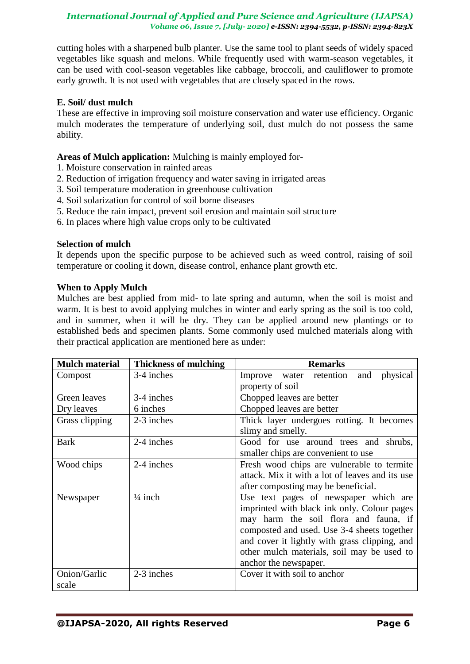cutting holes with a sharpened bulb planter. Use the same tool to plant seeds of widely spaced vegetables like squash and melons. While frequently used with warm-season vegetables, it can be used with cool-season vegetables like cabbage, broccoli, and cauliflower to promote early growth. It is not used with vegetables that are closely spaced in the rows.

## **E. Soil/ dust mulch**

These are effective in improving soil moisture conservation and water use efficiency. Organic mulch moderates the temperature of underlying soil, dust mulch do not possess the same ability.

## **Areas of Mulch application:** Mulching is mainly employed for-

- 1. Moisture conservation in rainfed areas
- 2. Reduction of irrigation frequency and water saving in irrigated areas
- 3. Soil temperature moderation in greenhouse cultivation
- 4. Soil solarization for control of soil borne diseases
- 5. Reduce the rain impact, prevent soil erosion and maintain soil structure
- 6. In places where high value crops only to be cultivated

#### **Selection of mulch**

It depends upon the specific purpose to be achieved such as weed control, raising of soil temperature or cooling it down, disease control, enhance plant growth etc.

#### **When to Apply Mulch**

Mulches are best applied from mid- to late spring and autumn, when the soil is moist and warm. It is best to avoid applying mulches in winter and early spring as the soil is too cold, and in summer, when it will be dry. They can be applied around new plantings or to established beds and specimen plants. Some commonly used mulched materials along with their practical application are mentioned here as under:

| <b>Mulch material</b> | <b>Thickness of mulching</b> | <b>Remarks</b>                                                               |  |  |  |
|-----------------------|------------------------------|------------------------------------------------------------------------------|--|--|--|
| Compost               | 3-4 inches                   | Improve water retention<br>physical<br>and                                   |  |  |  |
|                       |                              | property of soil                                                             |  |  |  |
| Green leaves          | 3-4 inches                   | Chopped leaves are better                                                    |  |  |  |
| Dry leaves            | 6 inches                     | Chopped leaves are better                                                    |  |  |  |
| Grass clipping        | 2-3 inches                   | Thick layer undergoes rotting. It becomes                                    |  |  |  |
|                       |                              | slimy and smelly.                                                            |  |  |  |
| <b>Bark</b>           | 2-4 inches                   | Good for use around trees and shrubs,<br>smaller chips are convenient to use |  |  |  |
|                       |                              |                                                                              |  |  |  |
| Wood chips            | 2-4 inches                   | Fresh wood chips are vulnerable to termite                                   |  |  |  |
|                       |                              | attack. Mix it with a lot of leaves and its use                              |  |  |  |
|                       |                              | after composting may be beneficial.                                          |  |  |  |
| Newspaper             | $\frac{1}{4}$ inch           | Use text pages of newspaper which are                                        |  |  |  |
|                       |                              | imprinted with black ink only. Colour pages                                  |  |  |  |
|                       |                              | may harm the soil flora and fauna, if                                        |  |  |  |
|                       |                              | composted and used. Use 3-4 sheets together                                  |  |  |  |
|                       |                              | and cover it lightly with grass clipping, and                                |  |  |  |
|                       |                              | other mulch materials, soil may be used to                                   |  |  |  |
|                       |                              | anchor the newspaper.                                                        |  |  |  |
| Onion/Garlic          | 2-3 inches                   | Cover it with soil to anchor                                                 |  |  |  |
| scale                 |                              |                                                                              |  |  |  |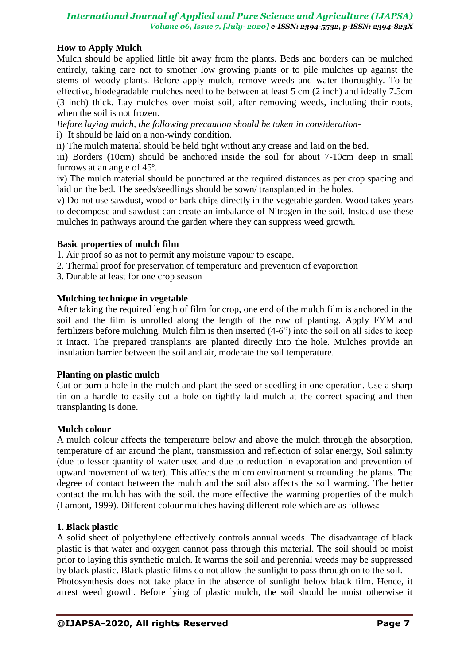## **How to Apply Mulch**

Mulch should be applied little bit away from the plants. Beds and borders can be mulched entirely, taking care not to smother low growing plants or to pile mulches up against the stems of woody plants. Before apply mulch, remove weeds and water thoroughly. To be effective, biodegradable mulches need to be between at least 5 cm (2 inch) and ideally 7.5cm (3 inch) thick. Lay mulches over moist soil, after removing weeds, including their roots, when the soil is not frozen.

*Before laying mulch, the following precaution should be taken in consideration-*

i) It should be laid on a non-windy condition.

ii) The mulch material should be held tight without any crease and laid on the bed.

iii) Borders (10cm) should be anchored inside the soil for about 7-10cm deep in small furrows at an angle of 45º.

iv) The mulch material should be punctured at the required distances as per crop spacing and laid on the bed. The seeds/seedlings should be sown/ transplanted in the holes.

v) Do not use sawdust, wood or bark chips directly in the vegetable garden. Wood takes years to decompose and sawdust can create an imbalance of Nitrogen in the soil. Instead use these mulches in pathways around the garden where they can suppress weed growth.

## **Basic properties of mulch film**

- 1. Air proof so as not to permit any moisture vapour to escape.
- 2. Thermal proof for preservation of temperature and prevention of evaporation
- 3. Durable at least for one crop season

## **Mulching technique in vegetable**

After taking the required length of film for crop, one end of the mulch film is anchored in the soil and the film is unrolled along the length of the row of planting. Apply FYM and fertilizers before mulching. Mulch film is then inserted (4-6") into the soil on all sides to keep it intact. The prepared transplants are planted directly into the hole. Mulches provide an insulation barrier between the soil and air, moderate the soil temperature.

#### **Planting on plastic mulch**

Cut or burn a hole in the mulch and plant the seed or seedling in one operation. Use a sharp tin on a handle to easily cut a hole on tightly laid mulch at the correct spacing and then transplanting is done.

#### **Mulch colour**

A mulch colour affects the temperature below and above the mulch through the absorption, temperature of air around the plant, transmission and reflection of solar energy, Soil salinity (due to lesser quantity of water used and due to reduction in evaporation and prevention of upward movement of water). This affects the micro environment surrounding the plants. The degree of contact between the mulch and the soil also affects the soil warming. The better contact the mulch has with the soil, the more effective the warming properties of the mulch (Lamont, 1999). Different colour mulches having different role which are as follows:

#### **1. Black plastic**

A solid sheet of polyethylene effectively controls annual weeds. The disadvantage of black plastic is that water and oxygen cannot pass through this material. The soil should be moist prior to laying this synthetic mulch. It warms the soil and perennial weeds may be suppressed by black plastic. Black plastic films do not allow the sunlight to pass through on to the soil. Photosynthesis does not take place in the absence of sunlight below black film. Hence, it arrest weed growth. Before lying of plastic mulch, the soil should be moist otherwise it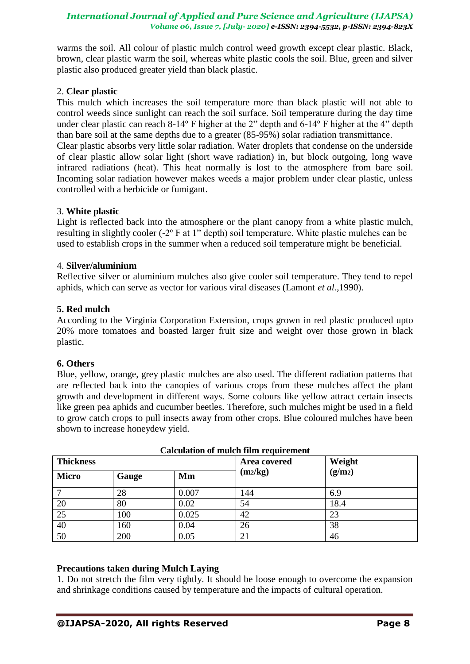warms the soil. All colour of plastic mulch control weed growth except clear plastic. Black, brown, clear plastic warm the soil, whereas white plastic cools the soil. Blue, green and silver plastic also produced greater yield than black plastic.

### 2. **Clear plastic**

This mulch which increases the soil temperature more than black plastic will not able to control weeds since sunlight can reach the soil surface. Soil temperature during the day time under clear plastic can reach 8-14º F higher at the 2" depth and 6-14º F higher at the 4" depth than bare soil at the same depths due to a greater (85-95%) solar radiation transmittance. Clear plastic absorbs very little solar radiation. Water droplets that condense on the underside of clear plastic allow solar light (short wave radiation) in, but block outgoing, long wave infrared radiations (heat). This heat normally is lost to the atmosphere from bare soil. Incoming solar radiation however makes weeds a major problem under clear plastic, unless controlled with a herbicide or fumigant.

#### 3. **White plastic**

Light is reflected back into the atmosphere or the plant canopy from a white plastic mulch, resulting in slightly cooler (-2º F at 1" depth) soil temperature. White plastic mulches can be used to establish crops in the summer when a reduced soil temperature might be beneficial.

## 4. **Silver/aluminium**

Reflective silver or aluminium mulches also give cooler soil temperature. They tend to repel aphids, which can serve as vector for various viral diseases (Lamont *et al.*,1990).

## **5. Red mulch**

According to the Virginia Corporation Extension, crops grown in red plastic produced upto 20% more tomatoes and boasted larger fruit size and weight over those grown in black plastic.

#### **6. Others**

Blue, yellow, orange, grey plastic mulches are also used. The different radiation patterns that are reflected back into the canopies of various crops from these mulches affect the plant growth and development in different ways. Some colours like yellow attract certain insects like green pea aphids and cucumber beetles. Therefore, such mulches might be used in a field to grow catch crops to pull insects away from other crops. Blue coloured mulches have been shown to increase honeydew yield.

| <b>Thickness</b> |       |       | Area covered | Weight              |
|------------------|-------|-------|--------------|---------------------|
| <b>Micro</b>     | Gauge | Mm    | $(m_2/kg)$   | (g/m <sub>2</sub> ) |
|                  | 28    | 0.007 | 144          | 6.9                 |
| 20               | 80    | 0.02  | 54           | 18.4                |
| 25               | 100   | 0.025 | 42           | 23                  |
| 40               | 160   | 0.04  | 26           | 38                  |
| 50               | 200   | 0.05  | 21           | 46                  |

#### **Calculation of mulch film requirement**

#### **Precautions taken during Mulch Laying**

1. Do not stretch the film very tightly. It should be loose enough to overcome the expansion and shrinkage conditions caused by temperature and the impacts of cultural operation.